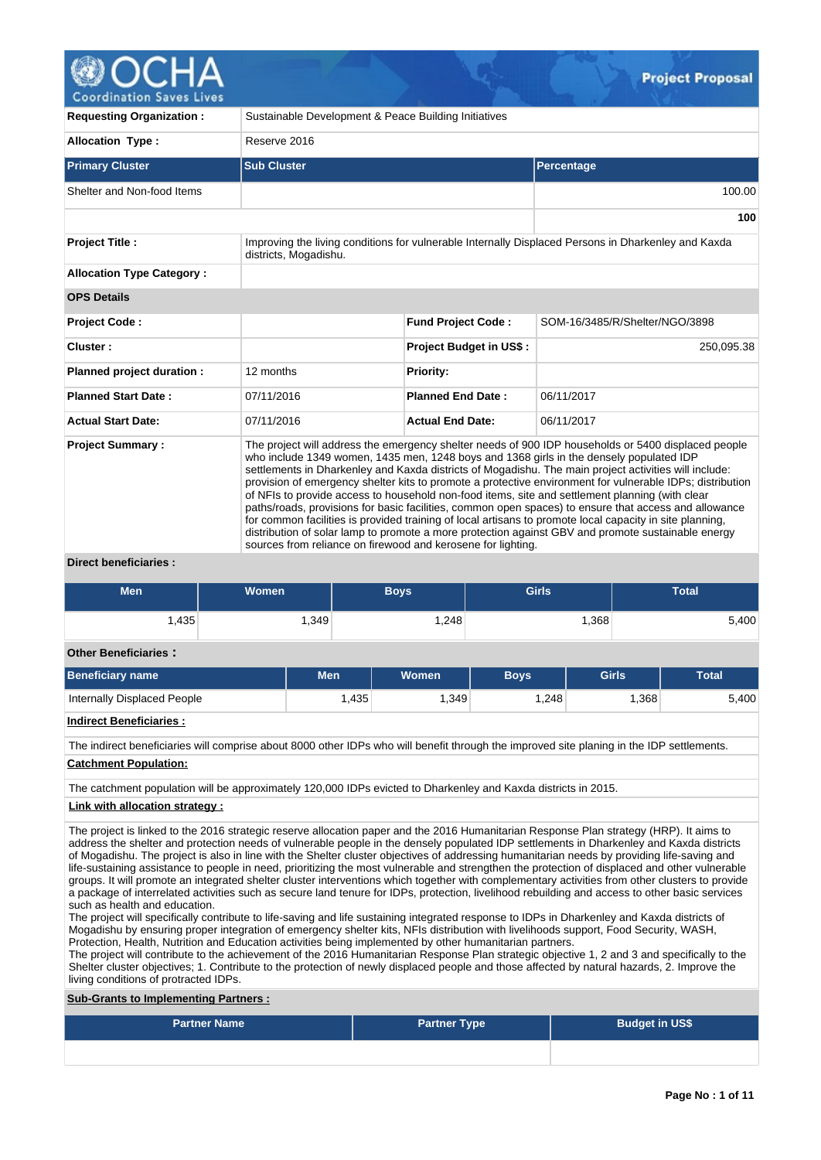

| <b>Requesting Organization:</b>                            | Sustainable Development & Peace Building Initiatives         |                                                             |                                                                                                                                                                                                                                                                                                                                                                                                                                                                                                                                                                                                                                                                                                                                                                                                                                                    |  |  |  |  |
|------------------------------------------------------------|--------------------------------------------------------------|-------------------------------------------------------------|----------------------------------------------------------------------------------------------------------------------------------------------------------------------------------------------------------------------------------------------------------------------------------------------------------------------------------------------------------------------------------------------------------------------------------------------------------------------------------------------------------------------------------------------------------------------------------------------------------------------------------------------------------------------------------------------------------------------------------------------------------------------------------------------------------------------------------------------------|--|--|--|--|
| <b>Allocation Type:</b>                                    | Reserve 2016                                                 |                                                             |                                                                                                                                                                                                                                                                                                                                                                                                                                                                                                                                                                                                                                                                                                                                                                                                                                                    |  |  |  |  |
| <b>Primary Cluster</b>                                     | <b>Sub Cluster</b>                                           |                                                             | Percentage                                                                                                                                                                                                                                                                                                                                                                                                                                                                                                                                                                                                                                                                                                                                                                                                                                         |  |  |  |  |
| Shelter and Non-food Items                                 |                                                              |                                                             | 100.00                                                                                                                                                                                                                                                                                                                                                                                                                                                                                                                                                                                                                                                                                                                                                                                                                                             |  |  |  |  |
|                                                            |                                                              |                                                             | 100                                                                                                                                                                                                                                                                                                                                                                                                                                                                                                                                                                                                                                                                                                                                                                                                                                                |  |  |  |  |
| <b>Project Title:</b>                                      | districts, Mogadishu.                                        |                                                             | Improving the living conditions for vulnerable Internally Displaced Persons in Dharkenley and Kaxda                                                                                                                                                                                                                                                                                                                                                                                                                                                                                                                                                                                                                                                                                                                                                |  |  |  |  |
| <b>Allocation Type Category:</b>                           |                                                              |                                                             |                                                                                                                                                                                                                                                                                                                                                                                                                                                                                                                                                                                                                                                                                                                                                                                                                                                    |  |  |  |  |
| <b>OPS Details</b>                                         |                                                              |                                                             |                                                                                                                                                                                                                                                                                                                                                                                                                                                                                                                                                                                                                                                                                                                                                                                                                                                    |  |  |  |  |
| <b>Project Code:</b>                                       |                                                              | <b>Fund Project Code:</b><br>SOM-16/3485/R/Shelter/NGO/3898 |                                                                                                                                                                                                                                                                                                                                                                                                                                                                                                                                                                                                                                                                                                                                                                                                                                                    |  |  |  |  |
| Cluster:                                                   |                                                              | Project Budget in US\$:                                     | 250,095.38                                                                                                                                                                                                                                                                                                                                                                                                                                                                                                                                                                                                                                                                                                                                                                                                                                         |  |  |  |  |
| Planned project duration :                                 | 12 months                                                    | <b>Priority:</b>                                            |                                                                                                                                                                                                                                                                                                                                                                                                                                                                                                                                                                                                                                                                                                                                                                                                                                                    |  |  |  |  |
| <b>Planned Start Date:</b>                                 | 07/11/2016                                                   | <b>Planned End Date:</b>                                    | 06/11/2017                                                                                                                                                                                                                                                                                                                                                                                                                                                                                                                                                                                                                                                                                                                                                                                                                                         |  |  |  |  |
| <b>Actual Start Date:</b>                                  | 07/11/2016                                                   | <b>Actual End Date:</b>                                     | 06/11/2017                                                                                                                                                                                                                                                                                                                                                                                                                                                                                                                                                                                                                                                                                                                                                                                                                                         |  |  |  |  |
| <b>Project Summary:</b><br>Patricio de la concentrativa de | sources from reliance on firewood and kerosene for lighting. |                                                             | The project will address the emergency shelter needs of 900 IDP households or 5400 displaced people<br>who include 1349 women, 1435 men, 1248 boys and 1368 girls in the densely populated IDP<br>settlements in Dharkenley and Kaxda districts of Mogadishu. The main project activities will include:<br>provision of emergency shelter kits to promote a protective environment for vulnerable IDPs; distribution<br>of NFIs to provide access to household non-food items, site and settlement planning (with clear<br>paths/roads, provisions for basic facilities, common open spaces) to ensure that access and allowance<br>for common facilities is provided training of local artisans to promote local capacity in site planning,<br>distribution of solar lamp to promote a more protection against GBV and promote sustainable energy |  |  |  |  |

**Direct beneficiaries :**

| Men                                         | <b>Women</b> | Boys   | <b>Girls</b> | <b>Total</b> |
|---------------------------------------------|--------------|--------|--------------|--------------|
| $.435$ <sup><math>\overline{)}</math></sup> | ,349         | ∫248,، | ,368         | 5,400        |

**Other Beneficiaries :**

| <b>Beneficiary name</b>     | Men  | <b>Women</b> | <b>Bovs</b> | Girls | Total  |
|-----------------------------|------|--------------|-------------|-------|--------|
| Internally Displaced People | .435 | .349         | .248        | ,368  | √400,د |
| .                           |      |              |             |       |        |

**Indirect Beneficiaries :**

The indirect beneficiaries will comprise about 8000 other IDPs who will benefit through the improved site planing in the IDP settlements.

**Catchment Population:**

The catchment population will be approximately 120,000 IDPs evicted to Dharkenley and Kaxda districts in 2015.

## **Link with allocation strategy :**

The project is linked to the 2016 strategic reserve allocation paper and the 2016 Humanitarian Response Plan strategy (HRP). It aims to address the shelter and protection needs of vulnerable people in the densely populated IDP settlements in Dharkenley and Kaxda districts of Mogadishu. The project is also in line with the Shelter cluster objectives of addressing humanitarian needs by providing life-saving and life-sustaining assistance to people in need, prioritizing the most vulnerable and strengthen the protection of displaced and other vulnerable groups. It will promote an integrated shelter cluster interventions which together with complementary activities from other clusters to provide a package of interrelated activities such as secure land tenure for IDPs, protection, livelihood rebuilding and access to other basic services such as health and education.

The project will specifically contribute to life-saving and life sustaining integrated response to IDPs in Dharkenley and Kaxda districts of Mogadishu by ensuring proper integration of emergency shelter kits, NFIs distribution with livelihoods support, Food Security, WASH, Protection, Health, Nutrition and Education activities being implemented by other humanitarian partners.

The project will contribute to the achievement of the 2016 Humanitarian Response Plan strategic objective 1, 2 and 3 and specifically to the Shelter cluster objectives; 1. Contribute to the protection of newly displaced people and those affected by natural hazards, 2. Improve the living conditions of protracted IDPs.

## **Sub-Grants to Implementing Partners :**

| <b>Partner Name</b> | <b>Partner Type</b> | <b>Budget in US\$</b> |
|---------------------|---------------------|-----------------------|
|                     |                     |                       |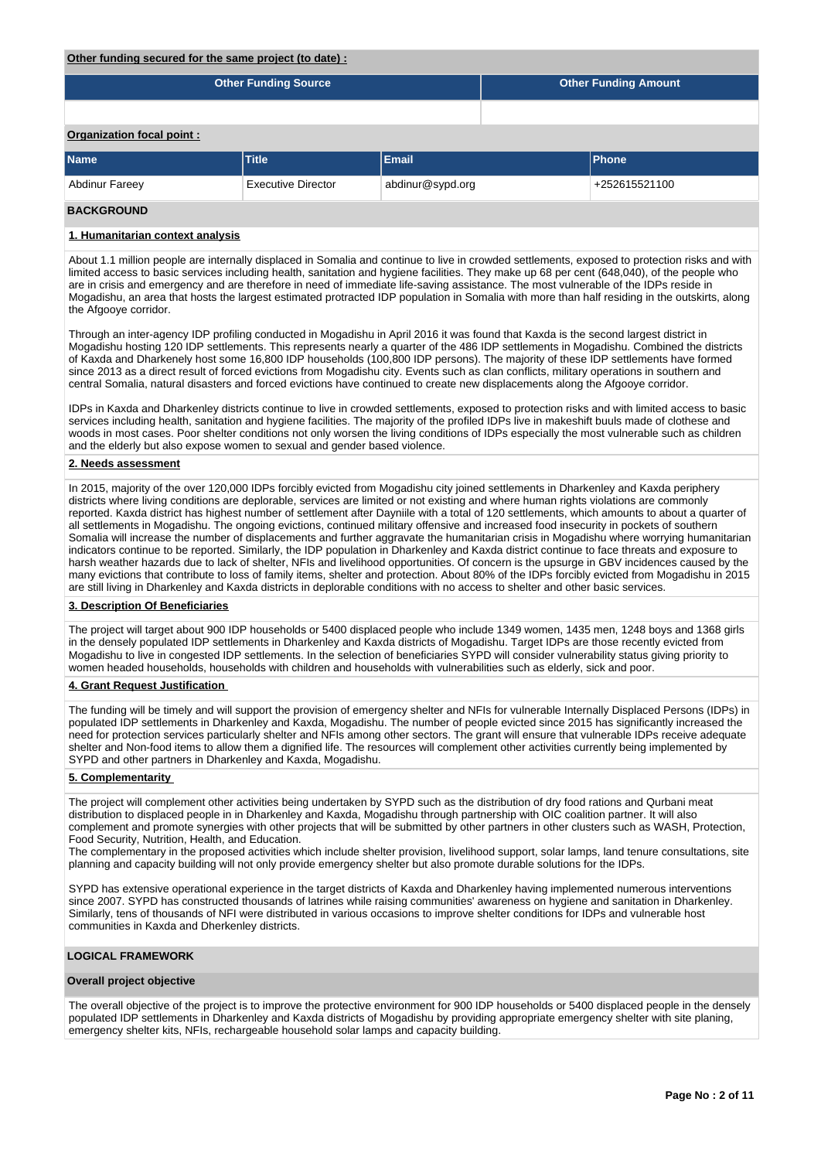#### **Other funding secured for the same project (to date) :**

|                           | <b>Other Funding Source</b> |                  | <b>Other Funding Amount</b> |              |  |  |  |
|---------------------------|-----------------------------|------------------|-----------------------------|--------------|--|--|--|
|                           |                             |                  |                             |              |  |  |  |
| Organization focal point: |                             |                  |                             |              |  |  |  |
| <b>Name</b>               | <b>Title</b>                | Email            |                             | <b>Phone</b> |  |  |  |
| <b>Abdinur Fareey</b>     | <b>Executive Director</b>   | abdinur@sypd.org | +252615521100               |              |  |  |  |

# **BACKGROUND**

#### **1. Humanitarian context analysis**

About 1.1 million people are internally displaced in Somalia and continue to live in crowded settlements, exposed to protection risks and with limited access to basic services including health, sanitation and hygiene facilities. They make up 68 per cent (648,040), of the people who are in crisis and emergency and are therefore in need of immediate life-saving assistance. The most vulnerable of the IDPs reside in Mogadishu, an area that hosts the largest estimated protracted IDP population in Somalia with more than half residing in the outskirts, along the Afgooye corridor.

Through an inter-agency IDP profiling conducted in Mogadishu in April 2016 it was found that Kaxda is the second largest district in Mogadishu hosting 120 IDP settlements. This represents nearly a quarter of the 486 IDP settlements in Mogadishu. Combined the districts of Kaxda and Dharkenely host some 16,800 IDP households (100,800 IDP persons). The majority of these IDP settlements have formed since 2013 as a direct result of forced evictions from Mogadishu city. Events such as clan conflicts, military operations in southern and central Somalia, natural disasters and forced evictions have continued to create new displacements along the Afgooye corridor.

IDPs in Kaxda and Dharkenley districts continue to live in crowded settlements, exposed to protection risks and with limited access to basic services including health, sanitation and hygiene facilities. The majority of the profiled IDPs live in makeshift buuls made of clothese and woods in most cases. Poor shelter conditions not only worsen the living conditions of IDPs especially the most vulnerable such as children and the elderly but also expose women to sexual and gender based violence.

#### **2. Needs assessment**

In 2015, majority of the over 120,000 IDPs forcibly evicted from Mogadishu city joined settlements in Dharkenley and Kaxda periphery districts where living conditions are deplorable, services are limited or not existing and where human rights violations are commonly reported. Kaxda district has highest number of settlement after Dayniile with a total of 120 settlements, which amounts to about a quarter of all settlements in Mogadishu. The ongoing evictions, continued military offensive and increased food insecurity in pockets of southern Somalia will increase the number of displacements and further aggravate the humanitarian crisis in Mogadishu where worrying humanitarian indicators continue to be reported. Similarly, the IDP population in Dharkenley and Kaxda district continue to face threats and exposure to harsh weather hazards due to lack of shelter, NFIs and livelihood opportunities. Of concern is the upsurge in GBV incidences caused by the many evictions that contribute to loss of family items, shelter and protection. About 80% of the IDPs forcibly evicted from Mogadishu in 2015 are still living in Dharkenley and Kaxda districts in deplorable conditions with no access to shelter and other basic services.

#### **3. Description Of Beneficiaries**

The project will target about 900 IDP households or 5400 displaced people who include 1349 women, 1435 men, 1248 boys and 1368 girls in the densely populated IDP settlements in Dharkenley and Kaxda districts of Mogadishu. Target IDPs are those recently evicted from Mogadishu to live in congested IDP settlements. In the selection of beneficiaries SYPD will consider vulnerability status giving priority to women headed households, households with children and households with vulnerabilities such as elderly, sick and poor.

## **4. Grant Request Justification**

The funding will be timely and will support the provision of emergency shelter and NFIs for vulnerable Internally Displaced Persons (IDPs) in populated IDP settlements in Dharkenley and Kaxda, Mogadishu. The number of people evicted since 2015 has significantly increased the need for protection services particularly shelter and NFIs among other sectors. The grant will ensure that vulnerable IDPs receive adequate shelter and Non-food items to allow them a dignified life. The resources will complement other activities currently being implemented by SYPD and other partners in Dharkenley and Kaxda, Mogadishu.

#### **5. Complementarity**

The project will complement other activities being undertaken by SYPD such as the distribution of dry food rations and Qurbani meat distribution to displaced people in in Dharkenley and Kaxda, Mogadishu through partnership with OIC coalition partner. It will also complement and promote synergies with other projects that will be submitted by other partners in other clusters such as WASH, Protection, Food Security, Nutrition, Health, and Education.

The complementary in the proposed activities which include shelter provision, livelihood support, solar lamps, land tenure consultations, site planning and capacity building will not only provide emergency shelter but also promote durable solutions for the IDPs.

SYPD has extensive operational experience in the target districts of Kaxda and Dharkenley having implemented numerous interventions since 2007. SYPD has constructed thousands of latrines while raising communities' awareness on hygiene and sanitation in Dharkenley. Similarly, tens of thousands of NFI were distributed in various occasions to improve shelter conditions for IDPs and vulnerable host communities in Kaxda and Dherkenley districts.

### **LOGICAL FRAMEWORK**

#### **Overall project objective**

The overall objective of the project is to improve the protective environment for 900 IDP households or 5400 displaced people in the densely populated IDP settlements in Dharkenley and Kaxda districts of Mogadishu by providing appropriate emergency shelter with site planing, emergency shelter kits, NFIs, rechargeable household solar lamps and capacity building.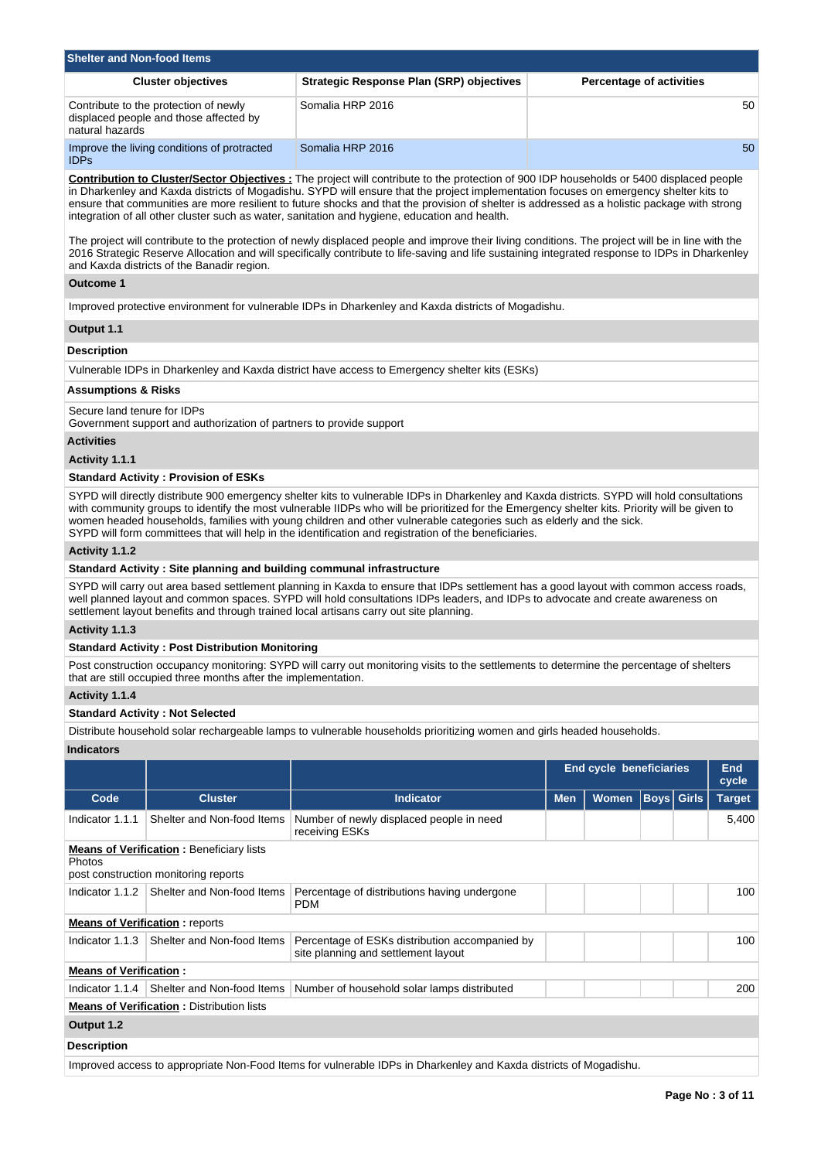| <b>Shelter and Non-food Items</b>                                                                  |                                          |                                 |
|----------------------------------------------------------------------------------------------------|------------------------------------------|---------------------------------|
| <b>Cluster objectives</b>                                                                          | Strategic Response Plan (SRP) objectives | <b>Percentage of activities</b> |
| Contribute to the protection of newly<br>displaced people and those affected by<br>natural hazards | Somalia HRP 2016                         | 50 <sup>°</sup>                 |
| Improve the living conditions of protracted<br><b>IDPs</b>                                         | Somalia HRP 2016                         | 50                              |

**Contribution to Cluster/Sector Objectives :** The project will contribute to the protection of 900 IDP households or 5400 displaced people in Dharkenley and Kaxda districts of Mogadishu. SYPD will ensure that the project implementation focuses on emergency shelter kits to ensure that communities are more resilient to future shocks and that the provision of shelter is addressed as a holistic package with strong integration of all other cluster such as water, sanitation and hygiene, education and health.

The project will contribute to the protection of newly displaced people and improve their living conditions. The project will be in line with the 2016 Strategic Reserve Allocation and will specifically contribute to life-saving and life sustaining integrated response to IDPs in Dharkenley and Kaxda districts of the Banadir region.

### **Outcome 1**

Improved protective environment for vulnerable IDPs in Dharkenley and Kaxda districts of Mogadishu.

#### **Output 1.1**

### **Description**

Vulnerable IDPs in Dharkenley and Kaxda district have access to Emergency shelter kits (ESKs)

### **Assumptions & Risks**

Secure land tenure for IDPs

Government support and authorization of partners to provide support

## **Activities**

**Activity 1.1.1** 

# **Standard Activity : Provision of ESKs**

SYPD will directly distribute 900 emergency shelter kits to vulnerable IDPs in Dharkenley and Kaxda districts. SYPD will hold consultations with community groups to identify the most vulnerable IIDPs who will be prioritized for the Emergency shelter kits. Priority will be given to women headed households, families with young children and other vulnerable categories such as elderly and the sick. SYPD will form committees that will help in the identification and registration of the beneficiaries.

#### **Activity 1.1.2**

# **Standard Activity : Site planning and building communal infrastructure**

SYPD will carry out area based settlement planning in Kaxda to ensure that IDPs settlement has a good layout with common access roads, well planned layout and common spaces. SYPD will hold consultations IDPs leaders, and IDPs to advocate and create awareness on settlement layout benefits and through trained local artisans carry out site planning.

**Activity 1.1.3** 

## **Standard Activity : Post Distribution Monitoring**

Post construction occupancy monitoring: SYPD will carry out monitoring visits to the settlements to determine the percentage of shelters that are still occupied three months after the implementation.

#### **Activity 1.1.4**

#### **Standard Activity : Not Selected**

Distribute household solar rechargeable lamps to vulnerable households prioritizing women and girls headed households.

# **Indicators**

|                               |                                                                                         |                                                                                                                   | <b>End cycle beneficiaries</b> |              |                   |  | <b>End</b><br>cycle |
|-------------------------------|-----------------------------------------------------------------------------------------|-------------------------------------------------------------------------------------------------------------------|--------------------------------|--------------|-------------------|--|---------------------|
| Code                          | <b>Cluster</b>                                                                          | <b>Indicator</b>                                                                                                  | <b>Men</b>                     | <b>Women</b> | <b>Boys Girls</b> |  | <b>Target</b>       |
| Indicator 1.1.1               | Shelter and Non-food Items                                                              | Number of newly displaced people in need<br>receiving ESKs                                                        |                                |              |                   |  | 5,400               |
| Photos                        | <b>Means of Verification:</b> Beneficiary lists<br>post construction monitoring reports |                                                                                                                   |                                |              |                   |  |                     |
| Indicator 1.1.2               | Shelter and Non-food Items                                                              | Percentage of distributions having undergone<br><b>PDM</b>                                                        |                                |              |                   |  | 100                 |
|                               | <b>Means of Verification:</b> reports                                                   |                                                                                                                   |                                |              |                   |  |                     |
| Indicator 1.1.3               | Shelter and Non-food Items                                                              | Percentage of ESKs distribution accompanied by<br>site planning and settlement layout                             |                                |              |                   |  | 100                 |
| <b>Means of Verification:</b> |                                                                                         |                                                                                                                   |                                |              |                   |  |                     |
| Indicator 1.1.4               | Shelter and Non-food Items                                                              | Number of household solar lamps distributed                                                                       |                                |              |                   |  | 200                 |
|                               | <b>Means of Verification: Distribution lists</b>                                        |                                                                                                                   |                                |              |                   |  |                     |
| Output 1.2                    |                                                                                         |                                                                                                                   |                                |              |                   |  |                     |
| <b>Description</b>            |                                                                                         |                                                                                                                   |                                |              |                   |  |                     |
|                               |                                                                                         | Improved access to appropriate Non-Food Items for vulnerable IDPs in Dharkenley and Kaxda districts of Mogadishu. |                                |              |                   |  |                     |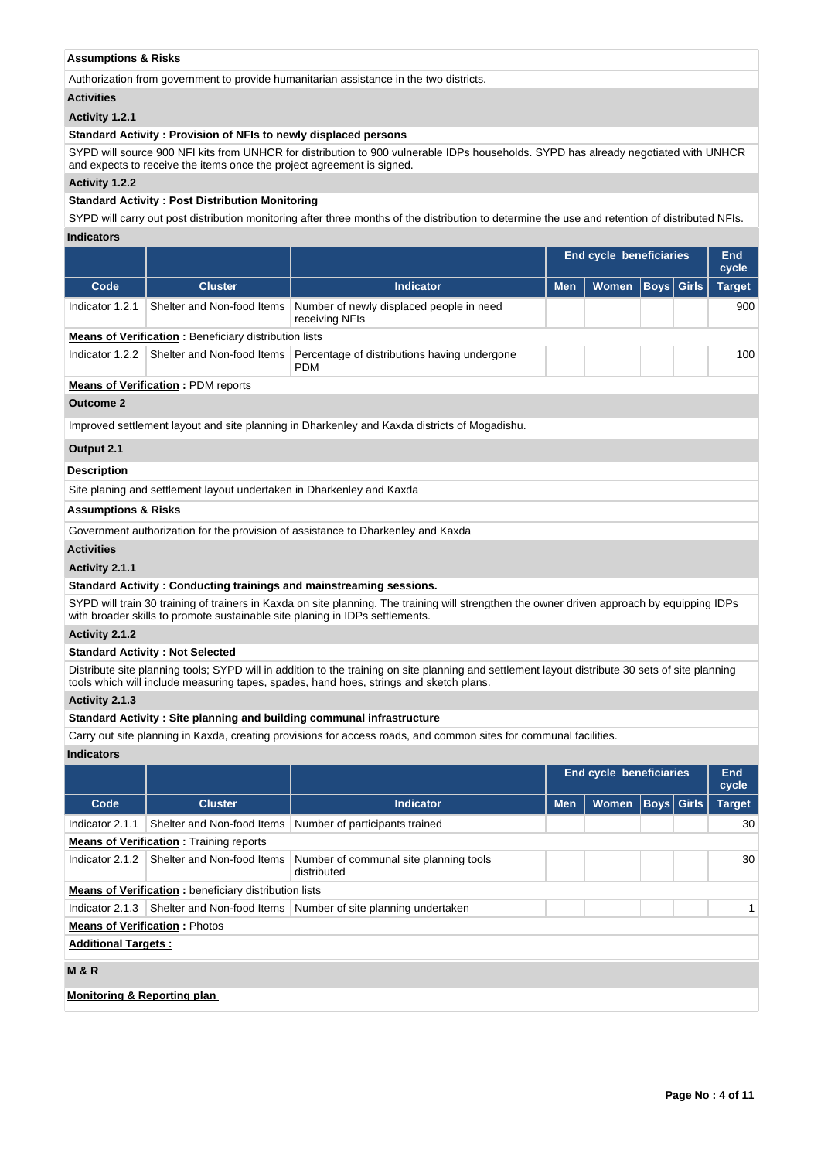## **Assumptions & Risks**

Authorization from government to provide humanitarian assistance in the two districts.

#### **Activities**

# **Activity 1.2.1**

### **Standard Activity : Provision of NFIs to newly displaced persons**

SYPD will source 900 NFI kits from UNHCR for distribution to 900 vulnerable IDPs households. SYPD has already negotiated with UNHCR and expects to receive the items once the project agreement is signed.

## **Activity 1.2.2**

## **Standard Activity : Post Distribution Monitoring**

SYPD will carry out post distribution monitoring after three months of the distribution to determine the use and retention of distributed NFIs. **Indicators**

|                                |                                                                       |                                                                                              | <b>End cycle beneficiaries</b> |              |  |                   | <b>End</b><br>cycle |
|--------------------------------|-----------------------------------------------------------------------|----------------------------------------------------------------------------------------------|--------------------------------|--------------|--|-------------------|---------------------|
| Code                           | <b>Cluster</b>                                                        | <b>Indicator</b>                                                                             | <b>Men</b>                     | <b>Women</b> |  | <b>Boys</b> Girls | <b>Target</b>       |
| Indicator 1.2.1                | Shelter and Non-food Items                                            | Number of newly displaced people in need<br>receiving NFIs                                   |                                |              |  |                   | 900                 |
|                                | <b>Means of Verification:</b> Beneficiary distribution lists          |                                                                                              |                                |              |  |                   |                     |
| Indicator 1.2.2                | Shelter and Non-food Items                                            | Percentage of distributions having undergone<br><b>PDM</b>                                   |                                |              |  |                   | 100                 |
|                                | <b>Means of Verification: PDM reports</b>                             |                                                                                              |                                |              |  |                   |                     |
| <b>Outcome 2</b>               |                                                                       |                                                                                              |                                |              |  |                   |                     |
|                                |                                                                       | Improved settlement layout and site planning in Dharkenley and Kaxda districts of Mogadishu. |                                |              |  |                   |                     |
| Output 2.1                     |                                                                       |                                                                                              |                                |              |  |                   |                     |
| <b>Description</b>             |                                                                       |                                                                                              |                                |              |  |                   |                     |
|                                | Site planing and settlement layout undertaken in Dharkenley and Kaxda |                                                                                              |                                |              |  |                   |                     |
| <b>Assumptions &amp; Risks</b> |                                                                       |                                                                                              |                                |              |  |                   |                     |
|                                |                                                                       | Government authorization for the provision of assistance to Dharkenley and Kaxda             |                                |              |  |                   |                     |

# **Activities**

#### **Activity 2.1.1**

## **Standard Activity : Conducting trainings and mainstreaming sessions.**

SYPD will train 30 training of trainers in Kaxda on site planning. The training will strengthen the owner driven approach by equipping IDPs with broader skills to promote sustainable site planing in IDPs settlements.

# **Activity 2.1.2**

### **Standard Activity : Not Selected**

Distribute site planning tools; SYPD will in addition to the training on site planning and settlement layout distribute 30 sets of site planning tools which will include measuring tapes, spades, hand hoes, strings and sketch plans.

### **Activity 2.1.3**

### **Standard Activity : Site planning and building communal infrastructure**

Carry out site planning in Kaxda, creating provisions for access roads, and common sites for communal facilities.

#### **Indicators**

|                                        |                                                              |                                                                 | <b>End cycle beneficiaries</b> |              |                   |  | <b>End</b><br>cycle |
|----------------------------------------|--------------------------------------------------------------|-----------------------------------------------------------------|--------------------------------|--------------|-------------------|--|---------------------|
| Code                                   | <b>Cluster</b>                                               | <b>Indicator</b>                                                | <b>Men</b>                     | <b>Women</b> | <b>Boys</b> Girls |  | <b>Target</b>       |
| Indicator 2.1.1                        | Shelter and Non-food Items                                   | Number of participants trained                                  |                                |              |                   |  | 30                  |
|                                        | <b>Means of Verification:</b> Training reports               |                                                                 |                                |              |                   |  |                     |
| Indicator 2.1.2                        | Shelter and Non-food Items                                   | Number of communal site planning tools<br>distributed           |                                |              |                   |  | 30                  |
|                                        | <b>Means of Verification:</b> beneficiary distribution lists |                                                                 |                                |              |                   |  |                     |
| Indicator 2.1.3                        |                                                              | Shelter and Non-food Items   Number of site planning undertaken |                                |              |                   |  |                     |
| <b>Means of Verification: Photos</b>   |                                                              |                                                                 |                                |              |                   |  |                     |
| <b>Additional Targets:</b>             |                                                              |                                                                 |                                |              |                   |  |                     |
| <b>M&amp;R</b>                         |                                                              |                                                                 |                                |              |                   |  |                     |
| <b>Monitoring &amp; Reporting plan</b> |                                                              |                                                                 |                                |              |                   |  |                     |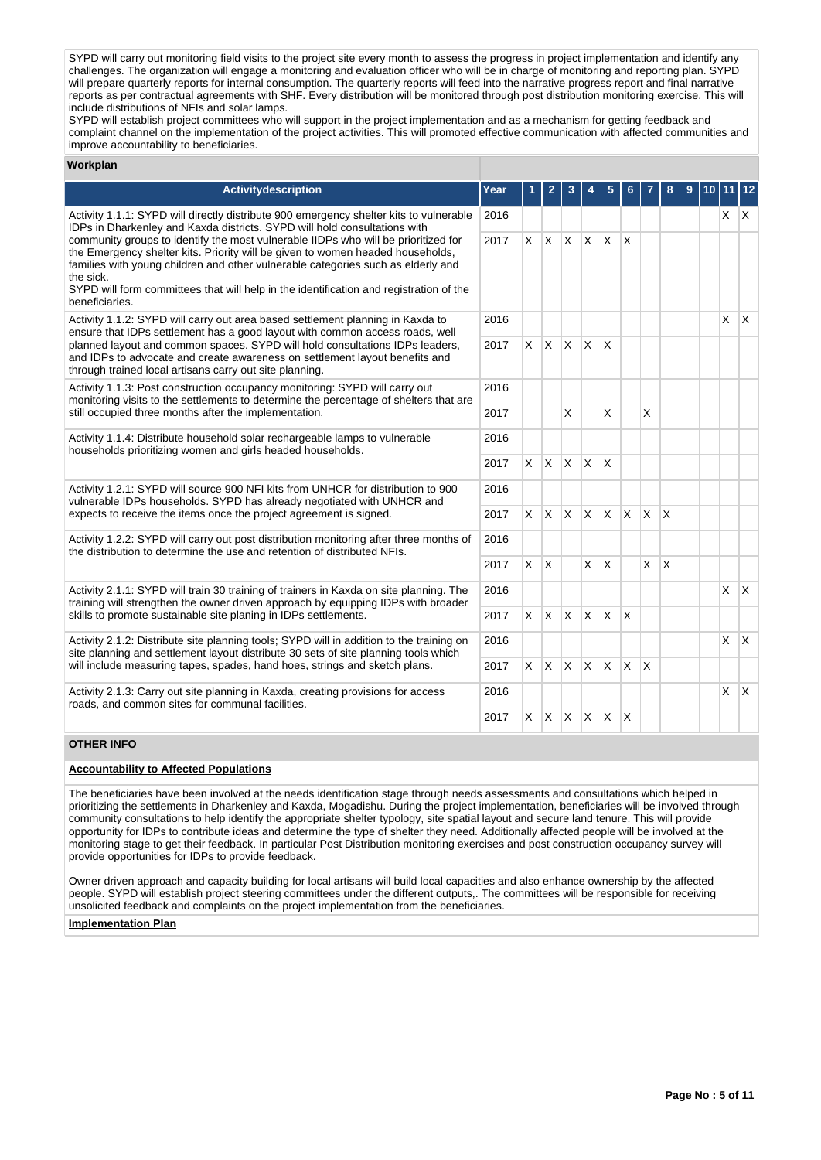SYPD will carry out monitoring field visits to the project site every month to assess the progress in project implementation and identify any challenges. The organization will engage a monitoring and evaluation officer who will be in charge of monitoring and reporting plan. SYPD will prepare quarterly reports for internal consumption. The quarterly reports will feed into the narrative progress report and final narrative reports as per contractual agreements with SHF. Every distribution will be monitored through post distribution monitoring exercise. This will include distributions of NFIs and solar lamps.

SYPD will establish project committees who will support in the project implementation and as a mechanism for getting feedback and complaint channel on the implementation of the project activities. This will promoted effective communication with affected communities and improve accountability to beneficiaries.

#### **Workplan**

| <b>Activitydescription</b>                                                                                                                                                                                                                                                                                                                                                        | Year |          | 2        | 3            | 4            | 5            | 6        |          | 8  | 9 | 10 I | 11         | 12           |
|-----------------------------------------------------------------------------------------------------------------------------------------------------------------------------------------------------------------------------------------------------------------------------------------------------------------------------------------------------------------------------------|------|----------|----------|--------------|--------------|--------------|----------|----------|----|---|------|------------|--------------|
| 2016<br>Activity 1.1.1: SYPD will directly distribute 900 emergency shelter kits to vulnerable<br>IDPs in Dharkenley and Kaxda districts. SYPD will hold consultations with                                                                                                                                                                                                       |      |          |          |              |              |              |          |          |    |   |      | $X \mid X$ |              |
| community groups to identify the most vulnerable IIDPs who will be prioritized for<br>the Emergency shelter kits. Priority will be given to women headed households,<br>families with young children and other vulnerable categories such as elderly and<br>the sick.<br>SYPD will form committees that will help in the identification and registration of the<br>beneficiaries. | 2017 | $\times$ | X.       | $\mathsf{X}$ | $\mathsf{X}$ | $\times$     | X        |          |    |   |      |            |              |
| Activity 1.1.2: SYPD will carry out area based settlement planning in Kaxda to<br>ensure that IDPs settlement has a good layout with common access roads, well                                                                                                                                                                                                                    | 2016 |          |          |              |              |              |          |          |    |   |      | X          | $\mathsf{X}$ |
| planned layout and common spaces. SYPD will hold consultations IDPs leaders,<br>and IDPs to advocate and create awareness on settlement layout benefits and<br>through trained local artisans carry out site planning.                                                                                                                                                            | 2017 | $\times$ | ΙX.      | $X$ $X$      |              | X            |          |          |    |   |      |            |              |
| Activity 1.1.3: Post construction occupancy monitoring: SYPD will carry out<br>monitoring visits to the settlements to determine the percentage of shelters that are<br>still occupied three months after the implementation.                                                                                                                                                     | 2016 |          |          |              |              |              |          |          |    |   |      |            |              |
|                                                                                                                                                                                                                                                                                                                                                                                   | 2017 |          |          | X            |              | X            |          | X        |    |   |      |            |              |
| Activity 1.1.4: Distribute household solar rechargeable lamps to vulnerable<br>households prioritizing women and girls headed households.                                                                                                                                                                                                                                         | 2016 |          |          |              |              |              |          |          |    |   |      |            |              |
|                                                                                                                                                                                                                                                                                                                                                                                   | 2017 | $\times$ | IX.      | $\mathsf{X}$ | $\mathsf{X}$ | $\times$     |          |          |    |   |      |            |              |
| Activity 1.2.1: SYPD will source 900 NFI kits from UNHCR for distribution to 900<br>vulnerable IDPs households. SYPD has already negotiated with UNHCR and                                                                                                                                                                                                                        | 2016 |          |          |              |              |              |          |          |    |   |      |            |              |
| expects to receive the items once the project agreement is signed.                                                                                                                                                                                                                                                                                                                | 2017 | $\times$ | <b>X</b> | $\mathsf{X}$ | $\mathsf{X}$ | $\mathsf{x}$ | IX.      | X        | ΙX |   |      |            |              |
| Activity 1.2.2: SYPD will carry out post distribution monitoring after three months of<br>the distribution to determine the use and retention of distributed NFIs.                                                                                                                                                                                                                | 2016 |          |          |              |              |              |          |          |    |   |      |            |              |
|                                                                                                                                                                                                                                                                                                                                                                                   | 2017 | $\times$ | X.       |              | $\times$     | $\times$     |          | X        | ΙX |   |      |            |              |
| Activity 2.1.1: SYPD will train 30 training of trainers in Kaxda on site planning. The<br>training will strengthen the owner driven approach by equipping IDPs with broader                                                                                                                                                                                                       | 2016 |          |          |              |              |              |          |          |    |   |      | X          | $\mathsf{X}$ |
| skills to promote sustainable site planing in IDPs settlements.                                                                                                                                                                                                                                                                                                                   | 2017 | $\times$ | ΙX.      | $\mathsf{X}$ | ΙX.          | $\mathsf{x}$ | X        |          |    |   |      |            |              |
| Activity 2.1.2: Distribute site planning tools; SYPD will in addition to the training on<br>site planning and settlement layout distribute 30 sets of site planning tools which                                                                                                                                                                                                   | 2016 |          |          |              |              |              |          |          |    |   |      | X          | $\mathsf{X}$ |
| will include measuring tapes, spades, hand hoes, strings and sketch plans.                                                                                                                                                                                                                                                                                                        |      | $\times$ | <b>X</b> | $\mathsf{X}$ | $\mathsf{X}$ | X.           | <b>X</b> | $\times$ |    |   |      |            |              |
| Activity 2.1.3: Carry out site planning in Kaxda, creating provisions for access<br>roads, and common sites for communal facilities.                                                                                                                                                                                                                                              | 2016 |          |          |              |              |              |          |          |    |   |      | X          | $\mathsf{X}$ |
|                                                                                                                                                                                                                                                                                                                                                                                   | 2017 | X        | X.       | $\mathsf{X}$ | $\mathsf{X}$ | $\mathsf{X}$ | X        |          |    |   |      |            |              |
| <b>OTHED INEO</b>                                                                                                                                                                                                                                                                                                                                                                 |      |          |          |              |              |              |          |          |    |   |      |            |              |

### **OTHER INFO**

### **Accountability to Affected Populations**

The beneficiaries have been involved at the needs identification stage through needs assessments and consultations which helped in prioritizing the settlements in Dharkenley and Kaxda, Mogadishu. During the project implementation, beneficiaries will be involved through community consultations to help identify the appropriate shelter typology, site spatial layout and secure land tenure. This will provide opportunity for IDPs to contribute ideas and determine the type of shelter they need. Additionally affected people will be involved at the monitoring stage to get their feedback. In particular Post Distribution monitoring exercises and post construction occupancy survey will provide opportunities for IDPs to provide feedback.

Owner driven approach and capacity building for local artisans will build local capacities and also enhance ownership by the affected people. SYPD will establish project steering committees under the different outputs,. The committees will be responsible for receiving unsolicited feedback and complaints on the project implementation from the beneficiaries.

#### **Implementation Plan**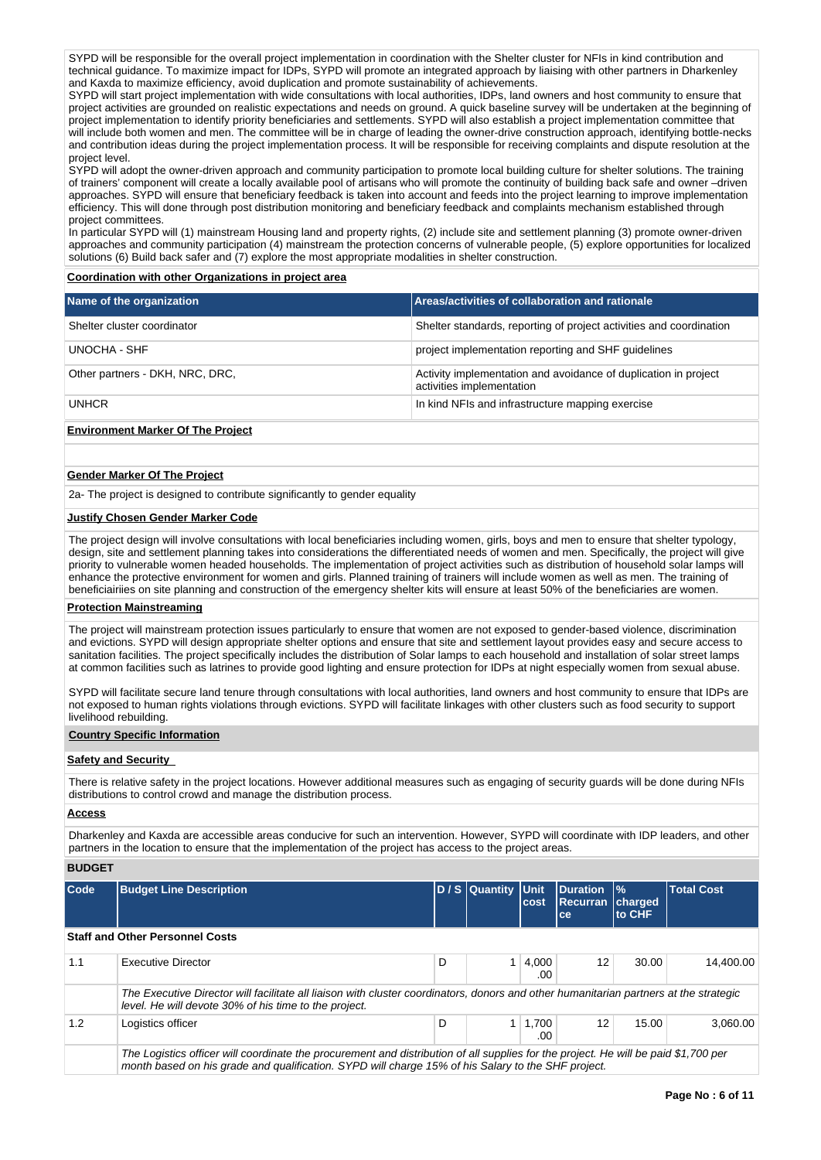SYPD will be responsible for the overall project implementation in coordination with the Shelter cluster for NFIs in kind contribution and technical guidance. To maximize impact for IDPs, SYPD will promote an integrated approach by liaising with other partners in Dharkenley and Kaxda to maximize efficiency, avoid duplication and promote sustainability of achievements.

SYPD will start project implementation with wide consultations with local authorities, IDPs, land owners and host community to ensure that project activities are grounded on realistic expectations and needs on ground. A quick baseline survey will be undertaken at the beginning of project implementation to identify priority beneficiaries and settlements. SYPD will also establish a project implementation committee that will include both women and men. The committee will be in charge of leading the owner-drive construction approach, identifying bottle-necks and contribution ideas during the project implementation process. It will be responsible for receiving complaints and dispute resolution at the project level.

SYPD will adopt the owner-driven approach and community participation to promote local building culture for shelter solutions. The training of trainers' component will create a locally available pool of artisans who will promote the continuity of building back safe and owner –driven approaches. SYPD will ensure that beneficiary feedback is taken into account and feeds into the project learning to improve implementation efficiency. This will done through post distribution monitoring and beneficiary feedback and complaints mechanism established through project committees.

In particular SYPD will (1) mainstream Housing land and property rights, (2) include site and settlement planning (3) promote owner-driven approaches and community participation (4) mainstream the protection concerns of vulnerable people, (5) explore opportunities for localized solutions (6) Build back safer and (7) explore the most appropriate modalities in shelter construction.

**Coordination with other Organizations in project area**

| Name of the organization        | Areas/activities of collaboration and rationale                                              |
|---------------------------------|----------------------------------------------------------------------------------------------|
| Shelter cluster coordinator     | Shelter standards, reporting of project activities and coordination                          |
| UNOCHA - SHF                    | project implementation reporting and SHF quidelines                                          |
| Other partners - DKH, NRC, DRC, | Activity implementation and avoidance of duplication in project<br>activities implementation |
| <b>UNHCR</b>                    | In kind NFIs and infrastructure mapping exercise                                             |
|                                 |                                                                                              |

## **Environment Marker Of The Project**

#### **Gender Marker Of The Project**

2a- The project is designed to contribute significantly to gender equality

### **Justify Chosen Gender Marker Code**

The project design will involve consultations with local beneficiaries including women, girls, boys and men to ensure that shelter typology, design, site and settlement planning takes into considerations the differentiated needs of women and men. Specifically, the project will give priority to vulnerable women headed households. The implementation of project activities such as distribution of household solar lamps will enhance the protective environment for women and girls. Planned training of trainers will include women as well as men. The training of beneficiairiies on site planning and construction of the emergency shelter kits will ensure at least 50% of the beneficiaries are women.

### **Protection Mainstreaming**

The project will mainstream protection issues particularly to ensure that women are not exposed to gender-based violence, discrimination and evictions. SYPD will design appropriate shelter options and ensure that site and settlement layout provides easy and secure access to sanitation facilities. The project specifically includes the distribution of Solar lamps to each household and installation of solar street lamps at common facilities such as latrines to provide good lighting and ensure protection for IDPs at night especially women from sexual abuse.

SYPD will facilitate secure land tenure through consultations with local authorities, land owners and host community to ensure that IDPs are not exposed to human rights violations through evictions. SYPD will facilitate linkages with other clusters such as food security to support livelihood rebuilding.

# **Country Specific Information**

# **Safety and Security**

There is relative safety in the project locations. However additional measures such as engaging of security guards will be done during NFIs distributions to control crowd and manage the distribution process.

**Access**

Dharkenley and Kaxda are accessible areas conducive for such an intervention. However, SYPD will coordinate with IDP leaders, and other partners in the location to ensure that the implementation of the project has access to the project areas.

**BUDGET**

| Code | <b>Budget Line Description</b>                                                                                                                                                                                                            |   | D / S Quantity Unit | cost                  | Duration<br>Recurran<br>ce | $\frac{9}{6}$<br><b>Icharged</b><br>to CHF | <b>Total Cost</b> |
|------|-------------------------------------------------------------------------------------------------------------------------------------------------------------------------------------------------------------------------------------------|---|---------------------|-----------------------|----------------------------|--------------------------------------------|-------------------|
|      | <b>Staff and Other Personnel Costs</b>                                                                                                                                                                                                    |   |                     |                       |                            |                                            |                   |
| 1.1  | <b>Executive Director</b>                                                                                                                                                                                                                 | D |                     | $1 \mid 4.000$<br>.00 | 12                         | 30.00                                      | 14.400.00         |
|      | The Executive Director will facilitate all liaison with cluster coordinators, donors and other humanitarian partners at the strategic<br>level. He will devote 30% of his time to the project.                                            |   |                     |                       |                            |                                            |                   |
| 1.2  | Logistics officer                                                                                                                                                                                                                         | D |                     | $1 \mid 1.700$<br>.00 | 12                         | 15.00                                      | 3.060.00          |
|      | The Logistics officer will coordinate the procurement and distribution of all supplies for the project. He will be paid \$1,700 per<br>month based on his grade and qualification. SYPD will charge 15% of his Salary to the SHF project. |   |                     |                       |                            |                                            |                   |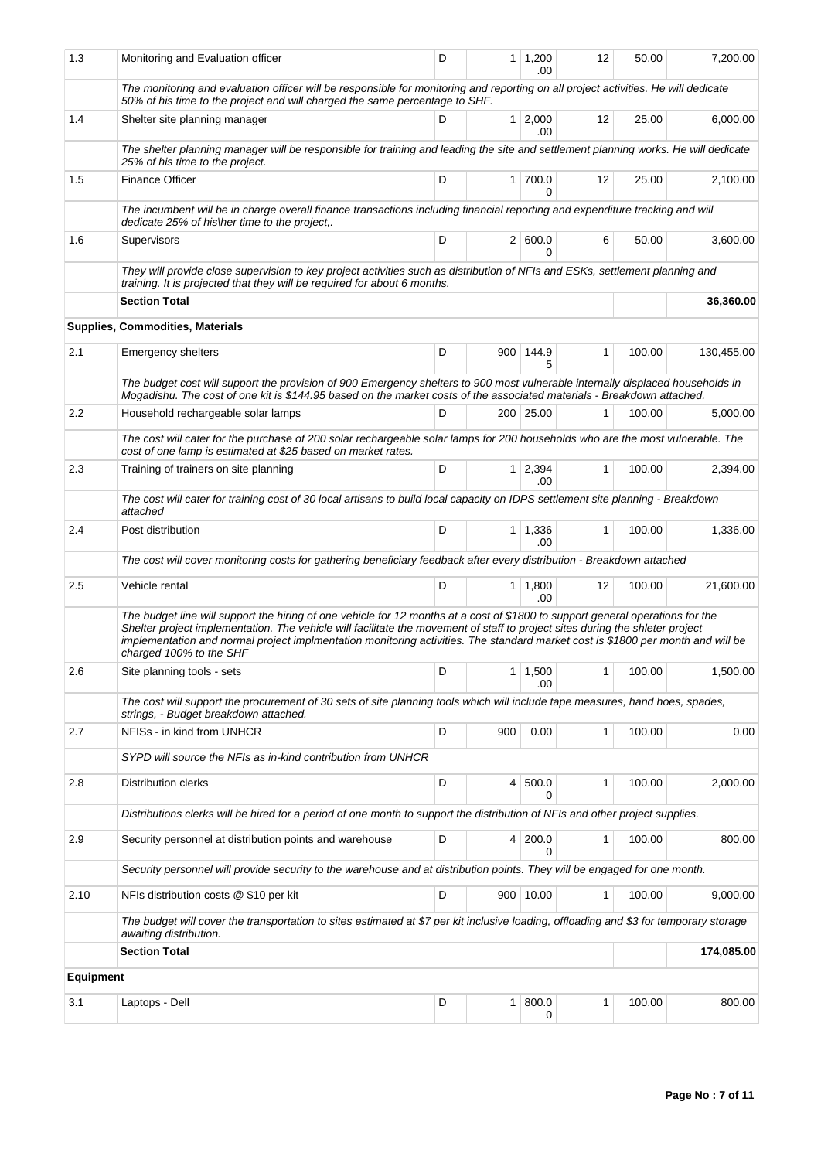| 1.3              | Monitoring and Evaluation officer                                                                                                                                                                                                                                                                                                                                                                                             | D | 1               | 1,200<br>.00           | 12           | 50.00  | 7,200.00   |
|------------------|-------------------------------------------------------------------------------------------------------------------------------------------------------------------------------------------------------------------------------------------------------------------------------------------------------------------------------------------------------------------------------------------------------------------------------|---|-----------------|------------------------|--------------|--------|------------|
|                  | The monitoring and evaluation officer will be responsible for monitoring and reporting on all project activities. He will dedicate<br>50% of his time to the project and will charged the same percentage to SHF.                                                                                                                                                                                                             |   |                 |                        |              |        |            |
| 1.4              | Shelter site planning manager                                                                                                                                                                                                                                                                                                                                                                                                 | D | $\mathbf{1}$    | 2,000<br>.00           | 12           | 25.00  | 6,000.00   |
|                  | The shelter planning manager will be responsible for training and leading the site and settlement planning works. He will dedicate<br>25% of his time to the project.                                                                                                                                                                                                                                                         |   |                 |                        |              |        |            |
| 1.5              | <b>Finance Officer</b>                                                                                                                                                                                                                                                                                                                                                                                                        | D |                 | 1 700.0<br>U           | 12           | 25.00  | 2,100.00   |
|                  | The incumbent will be in charge overall finance transactions including financial reporting and expenditure tracking and will<br>dedicate 25% of his\her time to the project,.                                                                                                                                                                                                                                                 |   |                 |                        |              |        |            |
| 1.6              | Supervisors                                                                                                                                                                                                                                                                                                                                                                                                                   | D |                 | 2   600.0<br>0         | 6            | 50.00  | 3.600.00   |
|                  | They will provide close supervision to key project activities such as distribution of NFIs and ESKs, settlement planning and<br>training. It is projected that they will be required for about 6 months.                                                                                                                                                                                                                      |   |                 |                        |              |        |            |
|                  | <b>Section Total</b>                                                                                                                                                                                                                                                                                                                                                                                                          |   | 36,360.00       |                        |              |        |            |
|                  | Supplies, Commodities, Materials                                                                                                                                                                                                                                                                                                                                                                                              |   |                 |                        |              |        |            |
| 2.1              | <b>Emergency shelters</b>                                                                                                                                                                                                                                                                                                                                                                                                     | D | 900             | 144.9<br>5             | $\mathbf{1}$ | 100.00 | 130,455.00 |
|                  | The budget cost will support the provision of 900 Emergency shelters to 900 most vulnerable internally displaced households in<br>Mogadishu. The cost of one kit is \$144.95 based on the market costs of the associated materials - Breakdown attached.                                                                                                                                                                      |   |                 |                        |              |        |            |
| 2.2              | Household rechargeable solar lamps                                                                                                                                                                                                                                                                                                                                                                                            | D |                 | 200 25.00              | 1            | 100.00 | 5,000.00   |
|                  | The cost will cater for the purchase of 200 solar rechargeable solar lamps for 200 households who are the most vulnerable. The<br>cost of one lamp is estimated at \$25 based on market rates.                                                                                                                                                                                                                                |   |                 |                        |              |        |            |
| 2.3              | Training of trainers on site planning                                                                                                                                                                                                                                                                                                                                                                                         | D | 1 <sup>1</sup>  | 2,394<br>.00           | $\mathbf{1}$ | 100.00 | 2,394.00   |
|                  | The cost will cater for training cost of 30 local artisans to build local capacity on IDPS settlement site planning - Breakdown<br>attached                                                                                                                                                                                                                                                                                   |   |                 |                        |              |        |            |
| 2.4              | Post distribution                                                                                                                                                                                                                                                                                                                                                                                                             | D |                 | $1 \mid 1,336$<br>.00. | $\mathbf{1}$ | 100.00 | 1,336.00   |
|                  | The cost will cover monitoring costs for gathering beneficiary feedback after every distribution - Breakdown attached                                                                                                                                                                                                                                                                                                         |   |                 |                        |              |        |            |
| 2.5              | Vehicle rental                                                                                                                                                                                                                                                                                                                                                                                                                | D | 1               | 1,800<br>.00           | 12           | 100.00 | 21,600.00  |
|                  | The budget line will support the hiring of one vehicle for 12 months at a cost of \$1800 to support general operations for the<br>Shelter project implementation. The vehicle will facilitate the movement of staff to project sites during the shleter project<br>implementation and normal project implmentation monitoring activities. The standard market cost is \$1800 per month and will be<br>charged 100% to the SHF |   |                 |                        |              |        |            |
| 2.6              | Site planning tools - sets                                                                                                                                                                                                                                                                                                                                                                                                    | D | 1               | 1,500<br>.00           | 1            | 100.00 | 1,500.00   |
|                  | The cost will support the procurement of 30 sets of site planning tools which will include tape measures, hand hoes, spades,<br>strings, - Budget breakdown attached.                                                                                                                                                                                                                                                         |   |                 |                        |              |        |            |
| 2.7              | NFISs - in kind from UNHCR                                                                                                                                                                                                                                                                                                                                                                                                    | D | 900             | 0.00                   | 1            | 100.00 | 0.00       |
|                  | SYPD will source the NFIs as in-kind contribution from UNHCR                                                                                                                                                                                                                                                                                                                                                                  |   |                 |                        |              |        |            |
| 2.8              | Distribution clerks                                                                                                                                                                                                                                                                                                                                                                                                           | D | $\vert 4 \vert$ | 500.0<br>0             | 1            | 100.00 | 2,000.00   |
|                  | Distributions clerks will be hired for a period of one month to support the distribution of NFIs and other project supplies.                                                                                                                                                                                                                                                                                                  |   |                 |                        |              |        |            |
| 2.9              | Security personnel at distribution points and warehouse                                                                                                                                                                                                                                                                                                                                                                       | D | 4               | 200.0<br>0             | $\mathbf{1}$ | 100.00 | 800.00     |
|                  | Security personnel will provide security to the warehouse and at distribution points. They will be engaged for one month.                                                                                                                                                                                                                                                                                                     |   |                 |                        |              |        |            |
| 2.10             | NFIs distribution costs @ \$10 per kit                                                                                                                                                                                                                                                                                                                                                                                        | D |                 | 900 10.00              | 1            | 100.00 | 9,000.00   |
|                  | The budget will cover the transportation to sites estimated at \$7 per kit inclusive loading, offloading and \$3 for temporary storage<br>awaiting distribution.                                                                                                                                                                                                                                                              |   |                 |                        |              |        |            |
|                  | <b>Section Total</b>                                                                                                                                                                                                                                                                                                                                                                                                          |   |                 |                        |              |        | 174,085.00 |
| <b>Equipment</b> |                                                                                                                                                                                                                                                                                                                                                                                                                               |   |                 |                        |              |        |            |
| 3.1              | Laptops - Dell                                                                                                                                                                                                                                                                                                                                                                                                                | D | $\mathbf{1}$    | 800.0<br>0             | 1            | 100.00 | 800.00     |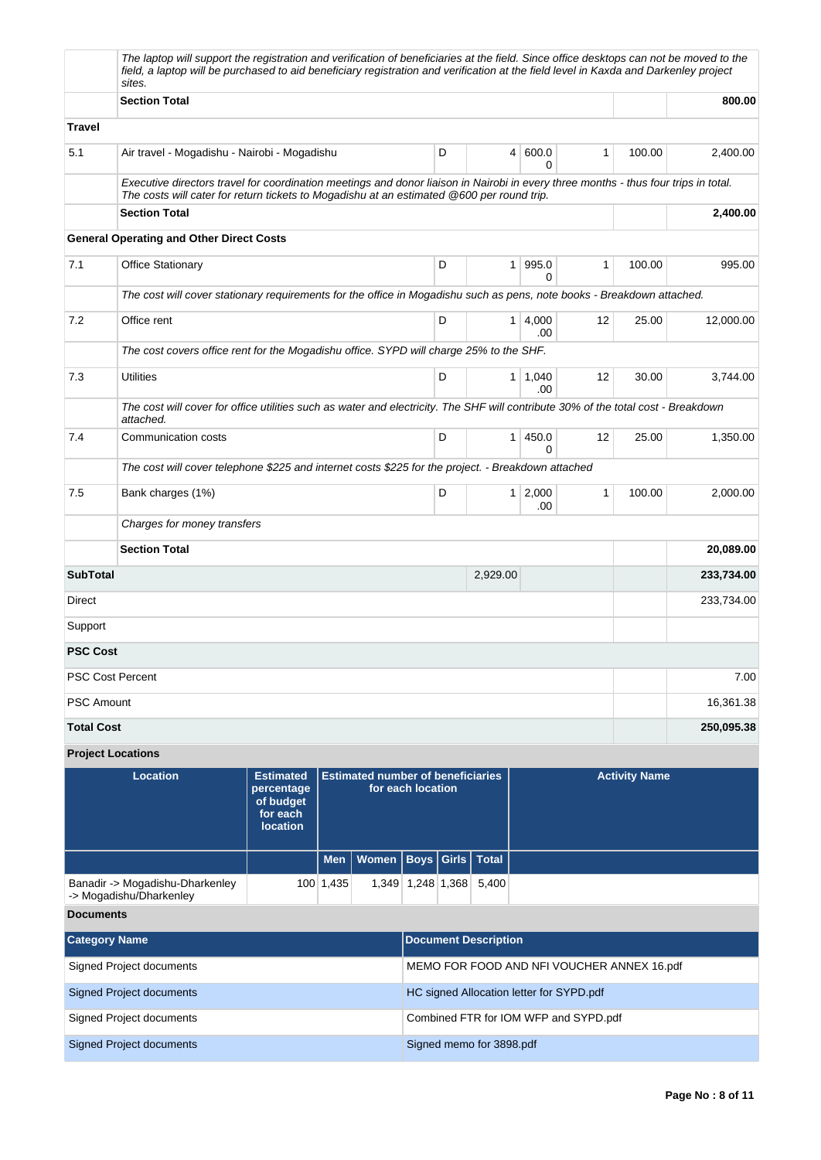|                                                                         | The laptop will support the registration and verification of beneficiaries at the field. Since office desktops can not be moved to the<br>field, a laptop will be purchased to aid beneficiary registration and verification at the field level in Kaxda and Darkenley project<br>sites. |  |            |                                                               |                                            |   |                      |                                |    |        |            |
|-------------------------------------------------------------------------|------------------------------------------------------------------------------------------------------------------------------------------------------------------------------------------------------------------------------------------------------------------------------------------|--|------------|---------------------------------------------------------------|--------------------------------------------|---|----------------------|--------------------------------|----|--------|------------|
|                                                                         | <b>Section Total</b>                                                                                                                                                                                                                                                                     |  |            |                                                               |                                            |   |                      |                                |    | 800.00 |            |
| <b>Travel</b>                                                           |                                                                                                                                                                                                                                                                                          |  |            |                                                               |                                            |   |                      |                                |    |        |            |
| 5.1                                                                     | Air travel - Mogadishu - Nairobi - Mogadishu                                                                                                                                                                                                                                             |  |            |                                                               |                                            | D |                      | 600.0<br>4 <sup>1</sup><br>0   | 1  | 100.00 | 2,400.00   |
|                                                                         | Executive directors travel for coordination meetings and donor liaison in Nairobi in every three months - thus four trips in total.<br>The costs will cater for return tickets to Mogadishu at an estimated @600 per round trip.                                                         |  |            |                                                               |                                            |   |                      |                                |    |        |            |
|                                                                         | <b>Section Total</b>                                                                                                                                                                                                                                                                     |  |            |                                                               |                                            |   |                      |                                |    |        | 2,400.00   |
|                                                                         | <b>General Operating and Other Direct Costs</b>                                                                                                                                                                                                                                          |  |            |                                                               |                                            |   |                      |                                |    |        |            |
| 7.1                                                                     | <b>Office Stationary</b>                                                                                                                                                                                                                                                                 |  |            |                                                               |                                            | D |                      | 995.0<br>1<br>0                | 1  | 100.00 | 995.00     |
|                                                                         | The cost will cover stationary requirements for the office in Mogadishu such as pens, note books - Breakdown attached.                                                                                                                                                                   |  |            |                                                               |                                            |   |                      |                                |    |        |            |
| 7.2                                                                     | Office rent                                                                                                                                                                                                                                                                              |  |            |                                                               |                                            | D |                      | 4,000<br>1 <sup>1</sup><br>.00 | 12 | 25.00  | 12,000.00  |
|                                                                         | The cost covers office rent for the Mogadishu office. SYPD will charge 25% to the SHF.                                                                                                                                                                                                   |  |            |                                                               |                                            |   |                      |                                |    |        |            |
| 7.3                                                                     | <b>Utilities</b>                                                                                                                                                                                                                                                                         |  |            |                                                               |                                            | D |                      | $1 \mid 1,040$<br>.00          | 12 | 30.00  | 3,744.00   |
|                                                                         | The cost will cover for office utilities such as water and electricity. The SHF will contribute 30% of the total cost - Breakdown<br>attached.                                                                                                                                           |  |            |                                                               |                                            |   |                      |                                |    |        |            |
| 7.4                                                                     | Communication costs                                                                                                                                                                                                                                                                      |  |            |                                                               |                                            | D |                      | $\mathbf{1}$<br>450.0<br>0     | 12 | 25.00  | 1,350.00   |
|                                                                         | The cost will cover telephone \$225 and internet costs \$225 for the project. - Breakdown attached                                                                                                                                                                                       |  |            |                                                               |                                            |   |                      |                                |    |        |            |
| 7.5                                                                     | Bank charges (1%)                                                                                                                                                                                                                                                                        |  |            |                                                               |                                            | D |                      | $1 \mid 2,000$<br>.00          | 1  | 100.00 | 2,000.00   |
|                                                                         | Charges for money transfers                                                                                                                                                                                                                                                              |  |            |                                                               |                                            |   |                      |                                |    |        |            |
|                                                                         | <b>Section Total</b>                                                                                                                                                                                                                                                                     |  |            |                                                               |                                            |   |                      |                                |    |        | 20,089.00  |
| <b>SubTotal</b>                                                         |                                                                                                                                                                                                                                                                                          |  |            |                                                               |                                            |   | 2,929.00             |                                |    |        | 233,734.00 |
| Direct                                                                  |                                                                                                                                                                                                                                                                                          |  |            |                                                               |                                            |   |                      |                                |    |        | 233,734.00 |
| Support                                                                 |                                                                                                                                                                                                                                                                                          |  |            |                                                               |                                            |   |                      |                                |    |        |            |
| <b>PSC Cost</b>                                                         |                                                                                                                                                                                                                                                                                          |  |            |                                                               |                                            |   |                      |                                |    |        |            |
| <b>PSC Cost Percent</b>                                                 |                                                                                                                                                                                                                                                                                          |  |            |                                                               |                                            |   |                      |                                |    |        | 7.00       |
| <b>PSC Amount</b>                                                       |                                                                                                                                                                                                                                                                                          |  |            |                                                               |                                            |   |                      |                                |    |        | 16,361.38  |
| <b>Total Cost</b>                                                       |                                                                                                                                                                                                                                                                                          |  |            |                                                               |                                            |   | 250,095.38           |                                |    |        |            |
|                                                                         | <b>Project Locations</b>                                                                                                                                                                                                                                                                 |  |            |                                                               |                                            |   |                      |                                |    |        |            |
|                                                                         | <b>Location</b><br><b>Estimated</b><br>percentage<br>of budget<br>for each<br><b>location</b>                                                                                                                                                                                            |  |            | <b>Estimated number of beneficiaries</b><br>for each location |                                            |   | <b>Activity Name</b> |                                |    |        |            |
|                                                                         |                                                                                                                                                                                                                                                                                          |  | <b>Men</b> | <b>Women</b>                                                  |                                            |   | Boys Girls   Total   |                                |    |        |            |
| Banadir -> Mogadishu-Dharkenley<br>100 1,435<br>-> Mogadishu/Dharkenley |                                                                                                                                                                                                                                                                                          |  |            |                                                               | 1,349 1,248 1,368                          |   | 5,400                |                                |    |        |            |
| <b>Documents</b>                                                        |                                                                                                                                                                                                                                                                                          |  |            |                                                               |                                            |   |                      |                                |    |        |            |
| <b>Category Name</b>                                                    |                                                                                                                                                                                                                                                                                          |  |            | <b>Document Description</b>                                   |                                            |   |                      |                                |    |        |            |
| <b>Signed Project documents</b>                                         |                                                                                                                                                                                                                                                                                          |  |            |                                                               | MEMO FOR FOOD AND NFI VOUCHER ANNEX 16.pdf |   |                      |                                |    |        |            |
| <b>Signed Project documents</b>                                         |                                                                                                                                                                                                                                                                                          |  |            | HC signed Allocation letter for SYPD.pdf                      |                                            |   |                      |                                |    |        |            |

Signed Project documents Combined FTR for IOM WFP and SYPD.pdf Signed Project documents Signed memo for 3898.pdf